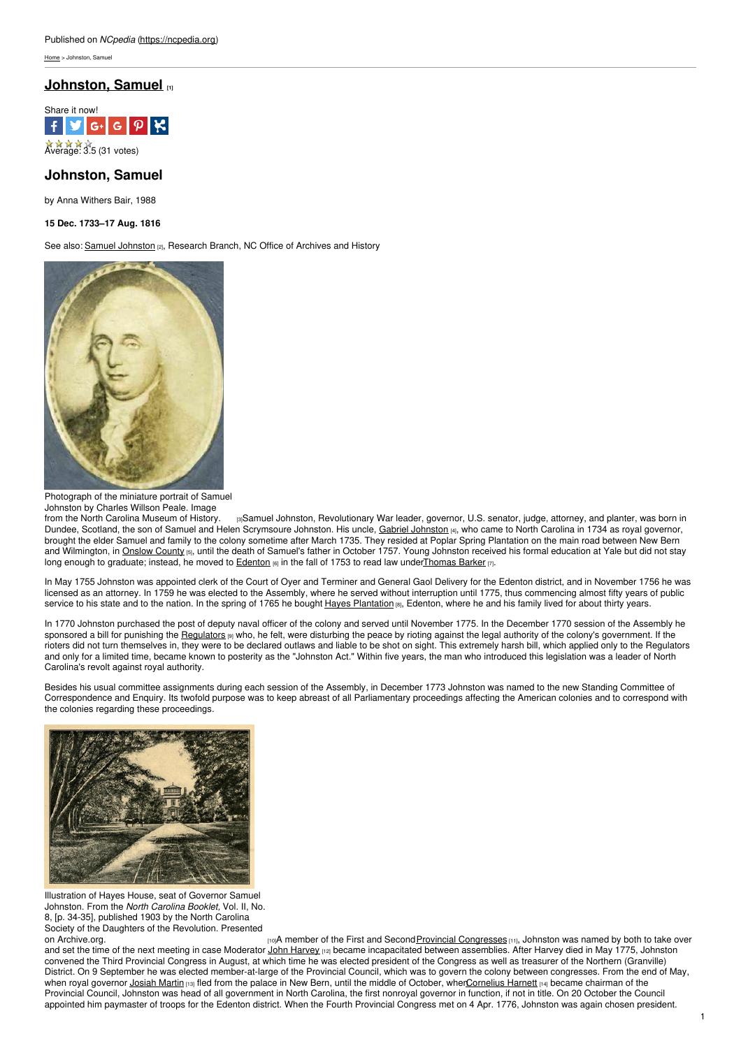[Home](https://ncpedia.org/) > Johnston, Samuel

# **[Johnston,](https://ncpedia.org/biography/johnston-samuel) Samuel [1]**



# **Johnston, Samuel**

by Anna Withers Bair, 1988

**15 Dec. 1733–17 Aug. 1816**

See also: Samuel [Johnston](https://ncpedia.org/johnston-samuel) [2], Research Branch, NC Office of Archives and History



Photograph of the miniature portrait of Samuel Johnston by Charles Willson Peale. Image

from the North Carolina [Museum](http://collections.ncdcr.gov/RediscoveryProficioPublicSearch/ShowItem.aspx?23701+) of History. [3]Samuel Johnston, Revolutionary War leader, governor, U.S. senator, judge, attorney, and planter, was born in Dundee, Scotland, the son of Samuel and Helen Scrymsoure [Johnston](https://ncpedia.org/biography/johnston-gabriel). His uncle, Gabriel Johnston [4], who came to North Carolina in 1734 as royal governor, brought the elder Samuel and family to the colony sometime after March 1735. They resided at Poplar Spring Plantation on the main road between New Bern and Wilmington, in [Onslow](https://ncpedia.org/geography/onslow) County [5], until the death of Samuel's father in October 1757. Young Johnston received his formal education at Yale but did not stay long enough to graduate; instead, he moved to **[Edenton](https://ncpedia.org/edenton)** [6] in the fall of 1753 to read law unde[rThomas](https://ncpedia.org/biography/barker-thomas) Barker [7].

In May 1755 Johnston was appointed clerk of the Court of Oyer and Terminer and General Gaol Delivery for the Edenton district, and in November 1756 he was licensed as an attorney. In 1759 he was elected to the Assembly, where he served without interruption until 1775, thus commencing almost fifty years of public service to his state and to the nation. In the spring of 1765 he bought Hayes [Plantation](https://ncpedia.org/hayes-plantation) [8], Edenton, where he and his family lived for about thirty years.

In 1770 Johnston purchased the post of deputy naval officer of the colony and served until November 1775. In the December 1770 session of the Assembly he sponsored a bill for punishing the [Regulators](https://ncpedia.org/history/colonial/regulator-movement) [9] who, he felt, were disturbing the peace by rioting against the legal authority of the colony's government. If the rioters did not turn themselves in, they were to be declared outlaws and liable to be shot on sight. This extremely harsh bill, which applied only to the Regulators and only for a limited time, became known to posterity as the "Johnston Act." Within five years, the man who introduced this legislation was a leader of North Carolina's revolt against royal authority.

Besides his usual committee assignments during each session of the Assembly, in December 1773 Johnston was named to the new Standing Committee of Correspondence and Enquiry. Its twofold purpose was to keep abreast of all Parliamentary proceedings affecting the American colonies and to correspond with the colonies regarding these proceedings.



Illustration of Hayes House, seat of Governor Samuel Johnston. From the *North Carolina Booklet,* Vol. II, No. 8, [p. 34-35], published 1903 by the North Carolina Society of the Daughters of the Revolution. Presented<br>on Archive.org.

[10]A member of the First and Second Provincial [Congresses](https://ncpedia.org/provincial-congresses) [11], Johnston was named by both to take over and set the time of the next meeting in case Moderator John [Harvey](https://ncpedia.org/biography/harvey-john-0) [12] became incapacitated between assemblies. After Harvey died in May 1775, Johnston convened the Third Provincial Congress in August, at which time he was elected president of the Congress as well as treasurer of the Northern (Granville) District. On 9 September he was elected member-at-large of the Provincial Council, which was to govern the colony between congresses. From the end of May, when royal governor [Josiah](https://ncpedia.org/biography/martin-josiah) Martin [13] fled from the palace in New Bern, until the middle of October, whe[nCornelius](https://ncpedia.org/biography/harnett-cornelius) Harnett [14] became chairman of the Provincial Council, Johnston was head of all government in North Carolina, the first nonroyal governor in function, if not in title. On 20 October the Council appointed him paymaster of troops for the Edenton district. When the Fourth Provincial Congress met on 4 Apr. 1776, Johnston was again chosen president.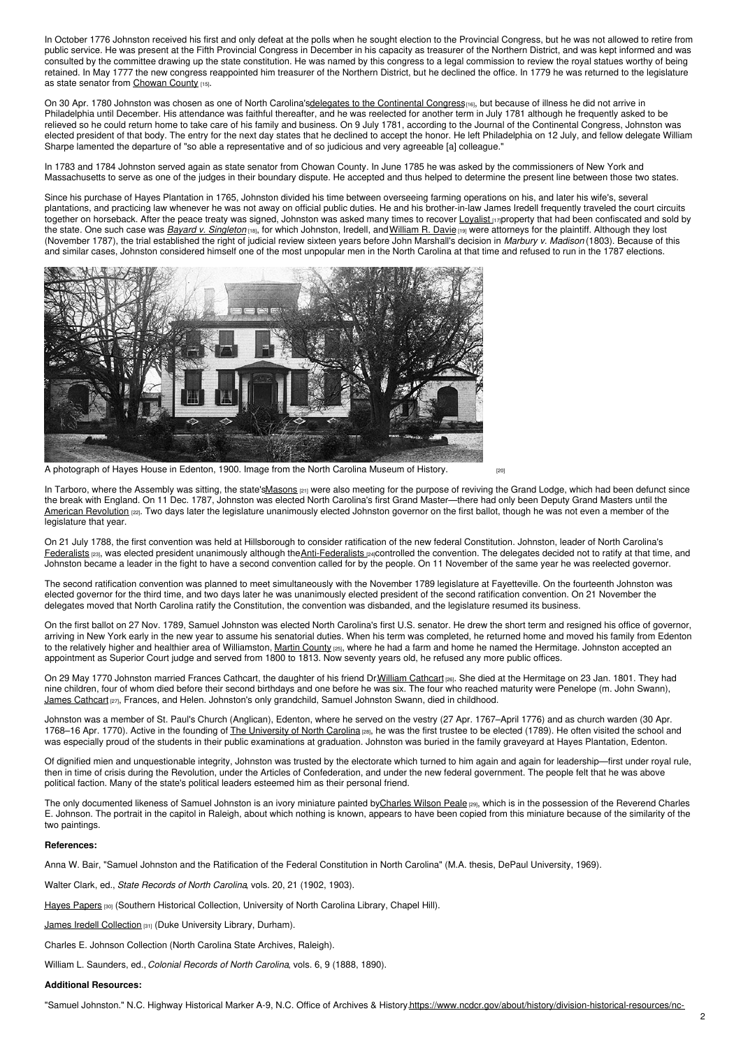In October 1776 Johnston received his first and only defeat at the polls when he sought election to the Provincial Congress, but he was not allowed to retire from public service. He was present at the Fifth Provincial Congress in December in his capacity as treasurer of the Northern District, and was kept informed and was consulted by the committee drawing up the state constitution. He was named by this congress to a legal commission to review the royal statues worthy of being retained. In May 1777 the new congress reappointed him treasurer of the Northern District, but he declined the office. In 1779 he was returned to the legislature as state senator from [Chowan](https://ncpedia.org/geography/chowan) County [15].

On 30 Apr. 1780 Johnston was chosen as one of North Carolina's delegates to the [Continental](https://ncpedia.org/history/usrevolution/continental-congress) Congress<sub>[16]</sub>, but because of illness he did not arrive in Philadelphia until December. His attendance was faithful thereafter, and he was reelected for another term in July 1781 although he frequently asked to be relieved so he could return home to take care of his family and business. On 9 July 1781, according to the Journal of the Continental Congress, Johnston was elected president of that body. The entry for the next day states that he declined to accept the honor. He left Philadelphia on 12 July, and fellow delegate William Sharpe lamented the departure of "so able a representative and of so judicious and very agreeable [a] colleague."

In 1783 and 1784 Johnston served again as state senator from Chowan County. In June 1785 he was asked by the commissioners of New York and Massachusetts to serve as one of the judges in their boundary dispute. He accepted and thus helped to determine the present line between those two states.

Since his purchase of Hayes Plantation in 1765, Johnston divided his time between overseeing farming operations on his, and later his wife's, several plantations, and practicing law whenever he was not away on official public duties. He and his brother-in-law James Iredell frequently traveled the court circuits together on horseback. After the peace treaty was signed, Johnston was asked many times to recover [Loyalist](https://ncpedia.org/loyalists) [17] property that had been confiscated and sold by the state. One such case was *Bayard v. [Singleton](https://ncpedia.org/bayard-v-singleton)* [18], for which Johnston, Iredell, and[William](https://ncpedia.org/biography/davie-william-richardson) R. Davie [19] were attorneys for the plaintiff. Although they lost (November 1787), the trial established the right of judicial review sixteen years before John Marshall's decision in *Marbury v. Madison* (1803). Because of this and similar cases, Johnston considered himself one of the most unpopular men in the North Carolina at that time and refused to run in the 1787 elections.



A [photograph](http://collections.ncdcr.gov/RediscoveryProficioPublicSearch/ShowItem.aspx?20427+) of Hayes House in Edenton, 1900. Image from the North Carolina Museum of History.  $_{[20]}$ 

In Tarboro, where the Assembly was sitting, the state'[sMasons](https://ncpedia.org/freemasons)  $_{[21]}$  were also meeting for the purpose of reviving the Grand Lodge, which had been defunct since the break with England. On 11 Dec. 1787, Johnston was elected North Carolina's first Grand Master—there had only been Deputy Grand Masters until the American [Revolution](https://ncpedia.org/american-revolution) [22]. Two days later the legislature unanimously elected Johnston governor on the first ballot, though he was not even a member of the legislature that year.

On 21 July 1788, the first convention was held at Hillsborough to consider ratification of the new federal Constitution. Johnston, leader of North Carolina's [Federalists](https://ncpedia.org/federalist-party) [23], was elected president unanimously although the [Anti-Federalists](https://ncpedia.org/anti-federalists) [24]Controlled the convention. The delegates decided not to ratify at that time, and Johnston became a leader in the fight to have a second convention called for by the people. On 11 November of the same year he was reelected governor.

The second ratification convention was planned to meet simultaneously with the November 1789 legislature at Fayetteville. On the fourteenth Johnston was elected governor for the third time, and two days later he was unanimously elected president of the second ratification convention. On 21 November the delegates moved that North Carolina ratify the Constitution, the convention was disbanded, and the legislature resumed its business.

On the first ballot on 27 Nov. 1789, Samuel Johnston was elected North Carolina's first U.S. senator. He drew the short term and resigned his office of governor, arriving in New York early in the new year to assume his senatorial duties. When his term was completed, he returned home and moved his family from Edenton to the relatively higher and healthier area of Williamston, Martin [County](https://ncpedia.org/geography/martin) [25], where he had a farm and home he named the Hermitage. Johnston accepted an appointment as Superior Court judge and served from 1800 to 1813. Now seventy years old, he refused any more public offices.

On 29 May 1770 Johnston married Frances [Cathcart](https://ncpedia.org/biography/cathcart-william), the daughter of his friend Dr.William Cathcart [26]. She died at the Hermitage on 23 Jan. 1801. They had nine children, four of whom died before their second birthdays and one before he was six. The four who reached maturity were Penelope (m. John Swann), James [Cathcart](https://ncpedia.org/biography/johnston-james-cathcart) [27], Frances, and Helen. Johnston's only grandchild, Samuel Johnston Swann, died in childhood.

Johnston was a member of St. Paul's Church (Anglican), Edenton, where he served on the vestry (27 Apr. 1767–April 1776) and as church warden (30 Apr. 1768–16 Apr. 1770). Active in the founding of The [University](https://ncpedia.org/university-north-carolina-chapel-hi) of North Carolina [28], he was the first trustee to be elected (1789). He often visited the school and was especially proud of the students in their public examinations at graduation. Johnston was buried in the family graveyard at Hayes Plantation, Edenton.

Of dignified mien and unquestionable integrity, Johnston was trusted by the electorate which turned to him again and again for leadership—first under royal rule, then in time of crisis during the Revolution, under the Articles of Confederation, and under the new federal government. The people felt that he was above political faction. Many of the state's political leaders esteemed him as their personal friend.

The only documented likeness of Samuel Johnston is an ivory miniature painted b[yCharles](http://libmma.contentdm.oclc.org/cdm/singleitem/collection/p15324coll10/id/1303/rec/129) Wilson Peale [29], which is in the possession of the Reverend Charles E. Johnson. The portrait in the capitol in Raleigh, about which nothing is known, appears to have been copied from this miniature because of the similarity of the two paintings.

### **References:**

Anna W. Bair, "Samuel Johnston and the Ratification of the Federal Constitution in North Carolina" (M.A. thesis, DePaul University, 1969).

Walter Clark, ed., *State Records of North Carolina*, vols. 20, 21 (1902, 1903).

Hayes [Papers](http://www.lib.unc.edu/mss/inv/h/Hayes_Collection.html) [30] (Southern Historical Collection, University of North Carolina Library, Chapel Hill).

James Iredell [Collection](http://search.library.duke.edu/search?id=DUKE000865011) [31] (Duke University Library, Durham).

Charles E. Johnson Collection (North Carolina State Archives, Raleigh).

William L. Saunders, ed., *Colonial Records of North Carolina*, vols. 6, 9 (1888, 1890).

## **Additional Resources:**

"Samuel Johnston." N.C. Highway Historical Marker A-9, N.C. Office of Archives & [History.https://www.ncdcr.gov/about/history/division-historical-resources/nc-](https://www.ncdcr.gov/about/history/division-historical-resources/nc-highway-historical-marker-program/Markers.aspx?sp=Markers&k=Markers&sv=A-9)